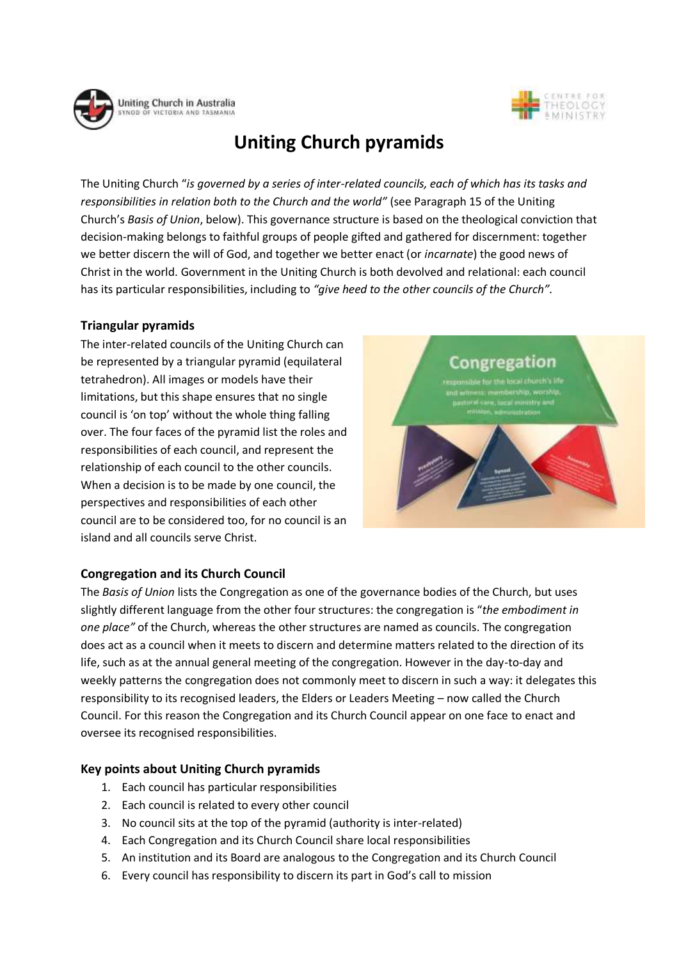



# **Uniting Church pyramids**

The Uniting Church "*is governed by a series of inter-related councils, each of which has its tasks and responsibilities in relation both to the Church and the world"* (see Paragraph 15 of the Uniting Church's *Basis of Union*, below). This governance structure is based on the theological conviction that decision-making belongs to faithful groups of people gifted and gathered for discernment: together we better discern the will of God, and together we better enact (or *incarnate*) the good news of Christ in the world. Government in the Uniting Church is both devolved and relational: each council has its particular responsibilities, including to *"give heed to the other councils of the Church".*

## **Triangular pyramids**

The inter-related councils of the Uniting Church can be represented by a triangular pyramid (equilateral tetrahedron). All images or models have their limitations, but this shape ensures that no single council is 'on top' without the whole thing falling over. The four faces of the pyramid list the roles and responsibilities of each council, and represent the relationship of each council to the other councils. When a decision is to be made by one council, the perspectives and responsibilities of each other council are to be considered too, for no council is an island and all councils serve Christ.



## **Congregation and its Church Council**

The *Basis of Union* lists the Congregation as one of the governance bodies of the Church, but uses slightly different language from the other four structures: the congregation is "*the embodiment in one place"* of the Church, whereas the other structures are named as councils. The congregation does act as a council when it meets to discern and determine matters related to the direction of its life, such as at the annual general meeting of the congregation. However in the day-to-day and weekly patterns the congregation does not commonly meet to discern in such a way: it delegates this responsibility to its recognised leaders, the Elders or Leaders Meeting – now called the Church Council. For this reason the Congregation and its Church Council appear on one face to enact and oversee its recognised responsibilities.

### **Key points about Uniting Church pyramids**

- 1. Each council has particular responsibilities
- 2. Each council is related to every other council
- 3. No council sits at the top of the pyramid (authority is inter-related)
- 4. Each Congregation and its Church Council share local responsibilities
- 5. An institution and its Board are analogous to the Congregation and its Church Council
- 6. Every council has responsibility to discern its part in God's call to mission